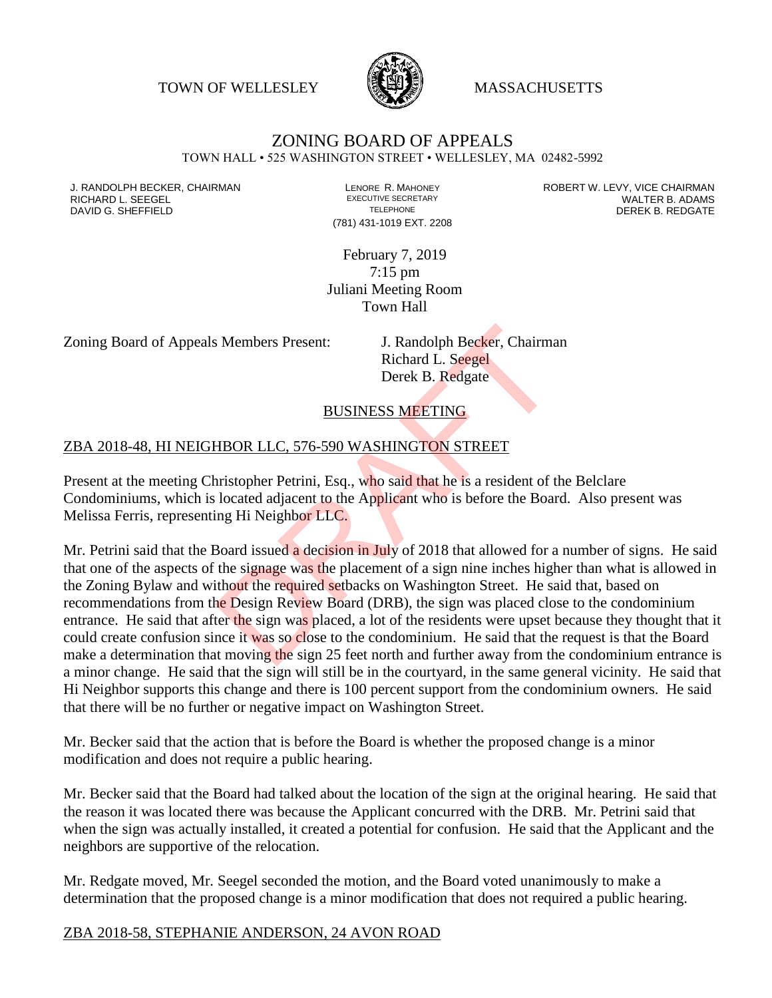TOWN OF WELLESLEY WASSACHUSETTS



# ZONING BOARD OF APPEALS

TOWN HALL • 525 WASHINGTON STREET • WELLESLEY, MA 02482-5992

DAVID G. SHEFFIELD

(781) 431-1019 EXT. 2208

J. RANDOLPH BECKER, CHAIRMAN LENORE R. MAHONEY ROBERT W. LEVY, VICE CHAIRMAN RICHARD L. SEEGEL EXECUTIVE SECRETARY WALTER B. ADAMS

> February 7, 2019 7:15 pm Juliani Meeting Room Town Hall

Zoning Board of Appeals Members Present: J. Randolph Becker, Chairman

Richard L. Seegel Derek B. Redgate

#### BUSINESS MEETING

#### ZBA 2018-48, HI NEIGHBOR LLC, 576-590 WASHINGTON STREET

Present at the meeting Christopher Petrini, Esq., who said that he is a resident of the Belclare Condominiums, which is located adjacent to the Applicant who is before the Board. Also present was Melissa Ferris, representing Hi Neighbor LLC.

Mr. Petrini said that the Board issued a decision in July of 2018 that allowed for a number of signs. He said that one of the aspects of the signage was the placement of a sign nine inches higher than what is allowed in the Zoning Bylaw and without the required setbacks on Washington Street. He said that, based on recommendations from the Design Review Board (DRB), the sign was placed close to the condominium entrance. He said that after the sign was placed, a lot of the residents were upset because they thought that it could create confusion since it was so close to the condominium. He said that the request is that the Board make a determination that moving the sign 25 feet north and further away from the condominium entrance is a minor change. He said that the sign will still be in the courtyard, in the same general vicinity. He said that Hi Neighbor supports this change and there is 100 percent support from the condominium owners. He said that there will be no further or negative impact on Washington Street. 3 Members Present:<br>
3. Randolph Becker, Chairma<br>
Richard L. Seegel<br>
Derek B. Redgate<br>
BUSINESS MEETING<br>
HBOR LLC, 576-590 WASHINGTON STREET<br>
THEOR LLC, 576-590 WASHINGTON STREET<br>
Theoretical adjacent to the Applicant who i

Mr. Becker said that the action that is before the Board is whether the proposed change is a minor modification and does not require a public hearing.

Mr. Becker said that the Board had talked about the location of the sign at the original hearing. He said that the reason it was located there was because the Applicant concurred with the DRB. Mr. Petrini said that when the sign was actually installed, it created a potential for confusion. He said that the Applicant and the neighbors are supportive of the relocation.

Mr. Redgate moved, Mr. Seegel seconded the motion, and the Board voted unanimously to make a determination that the proposed change is a minor modification that does not required a public hearing.

#### ZBA 2018-58, STEPHANIE ANDERSON, 24 AVON ROAD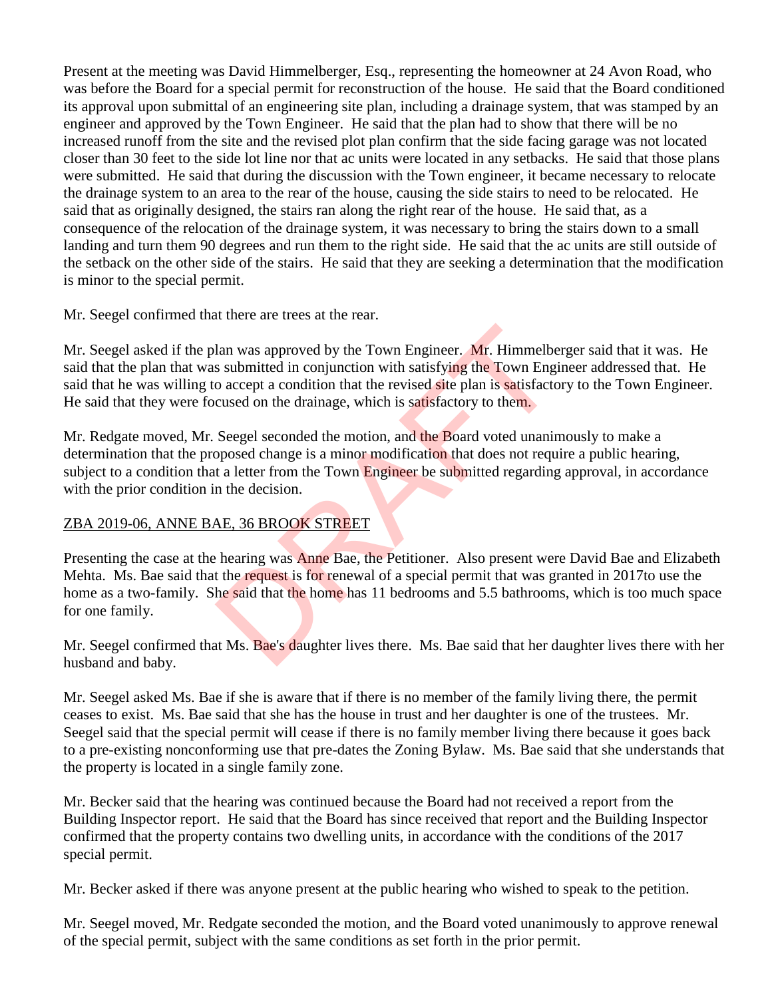Present at the meeting was David Himmelberger, Esq., representing the homeowner at 24 Avon Road, who was before the Board for a special permit for reconstruction of the house. He said that the Board conditioned its approval upon submittal of an engineering site plan, including a drainage system, that was stamped by an engineer and approved by the Town Engineer. He said that the plan had to show that there will be no increased runoff from the site and the revised plot plan confirm that the side facing garage was not located closer than 30 feet to the side lot line nor that ac units were located in any setbacks. He said that those plans were submitted. He said that during the discussion with the Town engineer, it became necessary to relocate the drainage system to an area to the rear of the house, causing the side stairs to need to be relocated. He said that as originally designed, the stairs ran along the right rear of the house. He said that, as a consequence of the relocation of the drainage system, it was necessary to bring the stairs down to a small landing and turn them 90 degrees and run them to the right side. He said that the ac units are still outside of the setback on the other side of the stairs. He said that they are seeking a determination that the modification is minor to the special permit.

Mr. Seegel confirmed that there are trees at the rear.

Mr. Seegel asked if the plan was approved by the Town Engineer. Mr. Himmelberger said that it was. He said that the plan that was submitted in conjunction with satisfying the Town Engineer addressed that. He said that he was willing to accept a condition that the revised site plan is satisfactory to the Town Engineer. He said that they were focused on the drainage, which is satisfactory to them. lan was approved by the Town Engineer. Mr. Himmelbe<br>s submitted in conjunction with satisfying the Town Eng<br>o accept a condition that the revised site plan is satisfact<br>cused on the drainage, which is satisfactory to them.

Mr. Redgate moved, Mr. Seegel seconded the motion, and the Board voted unanimously to make a determination that the proposed change is a minor modification that does not require a public hearing, subject to a condition that a letter from the Town Engineer be submitted regarding approval, in accordance with the prior condition in the decision.

# ZBA 2019-06, ANNE BAE, 36 BROOK STREET

Presenting the case at the hearing was Anne Bae, the Petitioner. Also present were David Bae and Elizabeth Mehta. Ms. Bae said that the request is for renewal of a special permit that was granted in 2017to use the home as a two-family. She said that the home has 11 bedrooms and 5.5 bathrooms, which is too much space for one family.

Mr. Seegel confirmed that Ms. Bae's daughter lives there. Ms. Bae said that her daughter lives there with her husband and baby.

Mr. Seegel asked Ms. Bae if she is aware that if there is no member of the family living there, the permit ceases to exist. Ms. Bae said that she has the house in trust and her daughter is one of the trustees. Mr. Seegel said that the special permit will cease if there is no family member living there because it goes back to a pre-existing nonconforming use that pre-dates the Zoning Bylaw. Ms. Bae said that she understands that the property is located in a single family zone.

Mr. Becker said that the hearing was continued because the Board had not received a report from the Building Inspector report. He said that the Board has since received that report and the Building Inspector confirmed that the property contains two dwelling units, in accordance with the conditions of the 2017 special permit.

Mr. Becker asked if there was anyone present at the public hearing who wished to speak to the petition.

Mr. Seegel moved, Mr. Redgate seconded the motion, and the Board voted unanimously to approve renewal of the special permit, subject with the same conditions as set forth in the prior permit.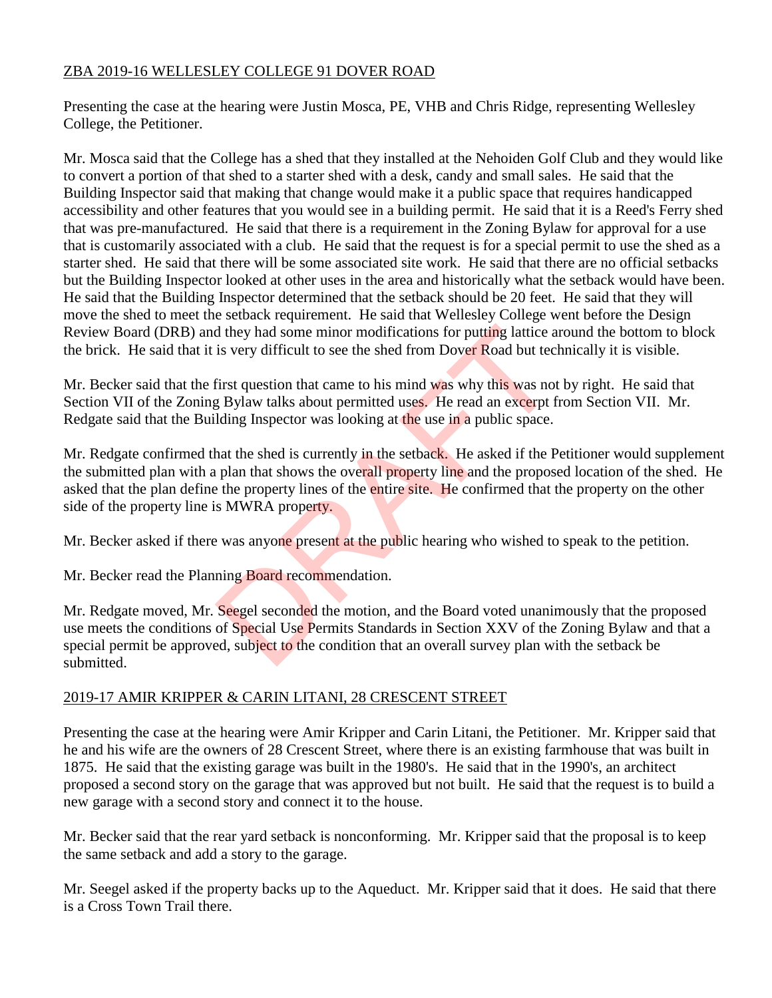## ZBA 2019-16 WELLESLEY COLLEGE 91 DOVER ROAD

Presenting the case at the hearing were Justin Mosca, PE, VHB and Chris Ridge, representing Wellesley College, the Petitioner.

Mr. Mosca said that the College has a shed that they installed at the Nehoiden Golf Club and they would like to convert a portion of that shed to a starter shed with a desk, candy and small sales. He said that the Building Inspector said that making that change would make it a public space that requires handicapped accessibility and other features that you would see in a building permit. He said that it is a Reed's Ferry shed that was pre-manufactured. He said that there is a requirement in the Zoning Bylaw for approval for a use that is customarily associated with a club. He said that the request is for a special permit to use the shed as a starter shed. He said that there will be some associated site work. He said that there are no official setbacks but the Building Inspector looked at other uses in the area and historically what the setback would have been. He said that the Building Inspector determined that the setback should be 20 feet. He said that they will move the shed to meet the setback requirement. He said that Wellesley College went before the Design Review Board (DRB) and they had some minor modifications for putting lattice around the bottom to block the brick. He said that it is very difficult to see the shed from Dover Road but technically it is visible.

Mr. Becker said that the first question that came to his mind was why this was not by right. He said that Section VII of the Zoning Bylaw talks about permitted uses. He read an excerpt from Section VII. Mr. Redgate said that the Building Inspector was looking at the use in a public space.

Mr. Redgate confirmed that the shed is currently in the setback. He asked if the Petitioner would supplement the submitted plan with a plan that shows the overall property line and the proposed location of the shed. He asked that the plan define the property lines of the entire site. He confirmed that the property on the other side of the property line is MWRA property. d they had some minor modifications for putting lattice a<br>is very difficult to see the shed from Dover Road but tec<br>first question that came to his mind was why this was not<br>g Bylaw talks about permitted uses. He read an e

Mr. Becker asked if there was anyone present at the public hearing who wished to speak to the petition.

Mr. Becker read the Planning Board recommendation.

Mr. Redgate moved, Mr. Seegel seconded the motion, and the Board voted unanimously that the proposed use meets the conditions of Special Use Permits Standards in Section XXV of the Zoning Bylaw and that a special permit be approved, subject to the condition that an overall survey plan with the setback be submitted.

#### 2019-17 AMIR KRIPPER & CARIN LITANI, 28 CRESCENT STREET

Presenting the case at the hearing were Amir Kripper and Carin Litani, the Petitioner. Mr. Kripper said that he and his wife are the owners of 28 Crescent Street, where there is an existing farmhouse that was built in 1875. He said that the existing garage was built in the 1980's. He said that in the 1990's, an architect proposed a second story on the garage that was approved but not built. He said that the request is to build a new garage with a second story and connect it to the house.

Mr. Becker said that the rear yard setback is nonconforming. Mr. Kripper said that the proposal is to keep the same setback and add a story to the garage.

Mr. Seegel asked if the property backs up to the Aqueduct. Mr. Kripper said that it does. He said that there is a Cross Town Trail there.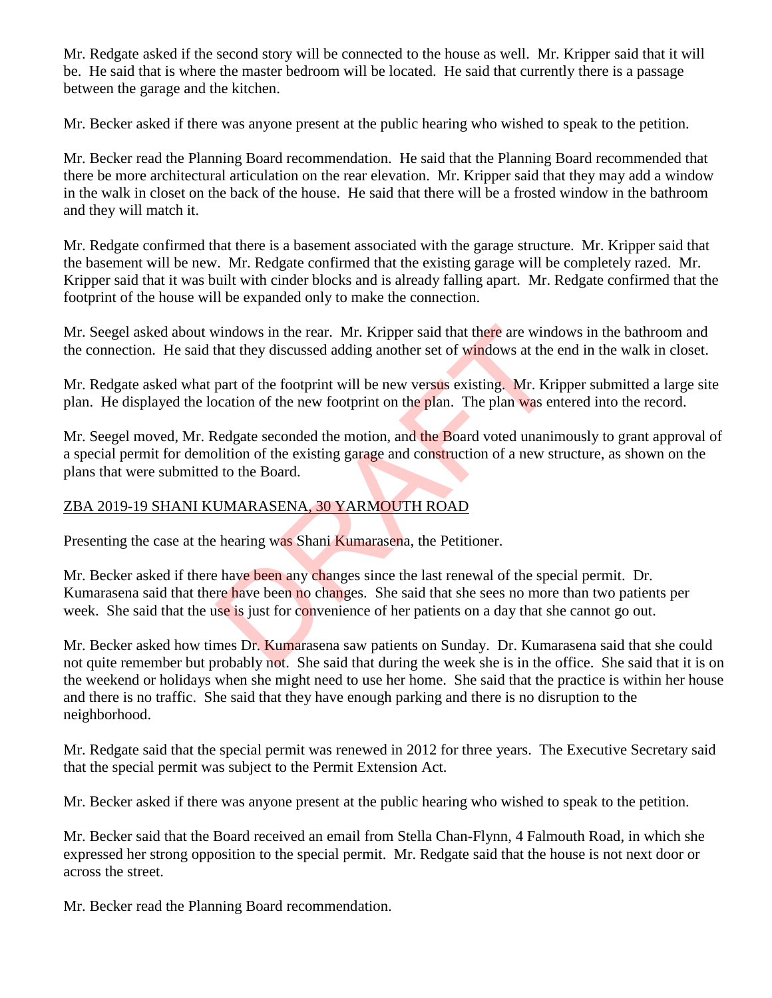Mr. Redgate asked if the second story will be connected to the house as well. Mr. Kripper said that it will be. He said that is where the master bedroom will be located. He said that currently there is a passage between the garage and the kitchen.

Mr. Becker asked if there was anyone present at the public hearing who wished to speak to the petition.

Mr. Becker read the Planning Board recommendation. He said that the Planning Board recommended that there be more architectural articulation on the rear elevation. Mr. Kripper said that they may add a window in the walk in closet on the back of the house. He said that there will be a frosted window in the bathroom and they will match it.

Mr. Redgate confirmed that there is a basement associated with the garage structure. Mr. Kripper said that the basement will be new. Mr. Redgate confirmed that the existing garage will be completely razed. Mr. Kripper said that it was built with cinder blocks and is already falling apart. Mr. Redgate confirmed that the footprint of the house will be expanded only to make the connection.

Mr. Seegel asked about windows in the rear. Mr. Kripper said that there are windows in the bathroom and the connection. He said that they discussed adding another set of windows at the end in the walk in closet.

Mr. Redgate asked what part of the footprint will be new versus existing. Mr. Kripper submitted a large site plan. He displayed the location of the new footprint on the plan. The plan was entered into the record.

Mr. Seegel moved, Mr. Redgate seconded the motion, and the Board voted unanimously to grant approval of a special permit for demolition of the existing garage and construction of a new structure, as shown on the plans that were submitted to the Board. windows in the rear. Mr. Kripper said that there are wind<br>that they discussed adding another set of windows at the<br>part of the footprint will be new versus existing. Mr. Kri<br>part of the new footprint on the plan. The plan

# ZBA 2019-19 SHANI KUMARASENA, 30 YARMOUTH ROAD

Presenting the case at the hearing was Shani Kumarasena, the Petitioner.

Mr. Becker asked if there have been any changes since the last renewal of the special permit. Dr. Kumarasena said that there have been no changes. She said that she sees no more than two patients per week. She said that the use is just for convenience of her patients on a day that she cannot go out.

Mr. Becker asked how times Dr. Kumarasena saw patients on Sunday. Dr. Kumarasena said that she could not quite remember but probably not. She said that during the week she is in the office. She said that it is on the weekend or holidays when she might need to use her home. She said that the practice is within her house and there is no traffic. She said that they have enough parking and there is no disruption to the neighborhood.

Mr. Redgate said that the special permit was renewed in 2012 for three years. The Executive Secretary said that the special permit was subject to the Permit Extension Act.

Mr. Becker asked if there was anyone present at the public hearing who wished to speak to the petition.

Mr. Becker said that the Board received an email from Stella Chan-Flynn, 4 Falmouth Road, in which she expressed her strong opposition to the special permit. Mr. Redgate said that the house is not next door or across the street.

Mr. Becker read the Planning Board recommendation.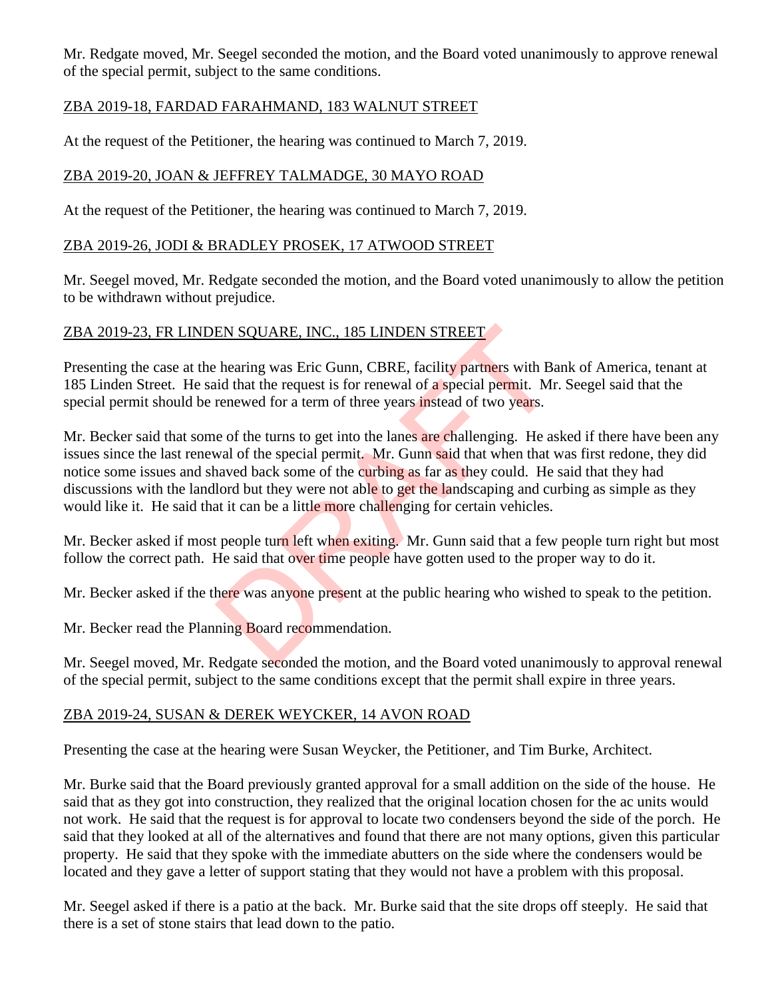Mr. Redgate moved, Mr. Seegel seconded the motion, and the Board voted unanimously to approve renewal of the special permit, subject to the same conditions.

## ZBA 2019-18, FARDAD FARAHMAND, 183 WALNUT STREET

At the request of the Petitioner, the hearing was continued to March 7, 2019.

## ZBA 2019-20, JOAN & JEFFREY TALMADGE, 30 MAYO ROAD

At the request of the Petitioner, the hearing was continued to March 7, 2019.

#### ZBA 2019-26, JODI & BRADLEY PROSEK, 17 ATWOOD STREET

Mr. Seegel moved, Mr. Redgate seconded the motion, and the Board voted unanimously to allow the petition to be withdrawn without prejudice.

#### ZBA 2019-23, FR LINDEN SQUARE, INC., 185 LINDEN STREET

Presenting the case at the hearing was Eric Gunn, CBRE, facility partners with Bank of America, tenant at 185 Linden Street. He said that the request is for renewal of a special permit. Mr. Seegel said that the special permit should be renewed for a term of three years instead of two years.

Mr. Becker said that some of the turns to get into the lanes are challenging. He asked if there have been any issues since the last renewal of the special permit. Mr. Gunn said that when that was first redone, they did notice some issues and shaved back some of the curbing as far as they could. He said that they had discussions with the landlord but they were not able to get the landscaping and curbing as simple as they would like it. He said that it can be a little more challenging for certain vehicles. EN SQUARE, INC., 185 LINDEN STREET<br>
hearing was Eric Gunn, CBRE, facility partners with Ba<br>
id that the request is for renewal of a special permit. Mr<br>
renewed for a term of three years instead of two years.<br>
e of the turn

Mr. Becker asked if most people turn left when exiting. Mr. Gunn said that a few people turn right but most follow the correct path. He said that over time people have gotten used to the proper way to do it.

Mr. Becker asked if the there was anyone present at the public hearing who wished to speak to the petition.

Mr. Becker read the Planning Board recommendation.

Mr. Seegel moved, Mr. Redgate seconded the motion, and the Board voted unanimously to approval renewal of the special permit, subject to the same conditions except that the permit shall expire in three years.

### ZBA 2019-24, SUSAN & DEREK WEYCKER, 14 AVON ROAD

Presenting the case at the hearing were Susan Weycker, the Petitioner, and Tim Burke, Architect.

Mr. Burke said that the Board previously granted approval for a small addition on the side of the house. He said that as they got into construction, they realized that the original location chosen for the ac units would not work. He said that the request is for approval to locate two condensers beyond the side of the porch. He said that they looked at all of the alternatives and found that there are not many options, given this particular property. He said that they spoke with the immediate abutters on the side where the condensers would be located and they gave a letter of support stating that they would not have a problem with this proposal.

Mr. Seegel asked if there is a patio at the back. Mr. Burke said that the site drops off steeply. He said that there is a set of stone stairs that lead down to the patio.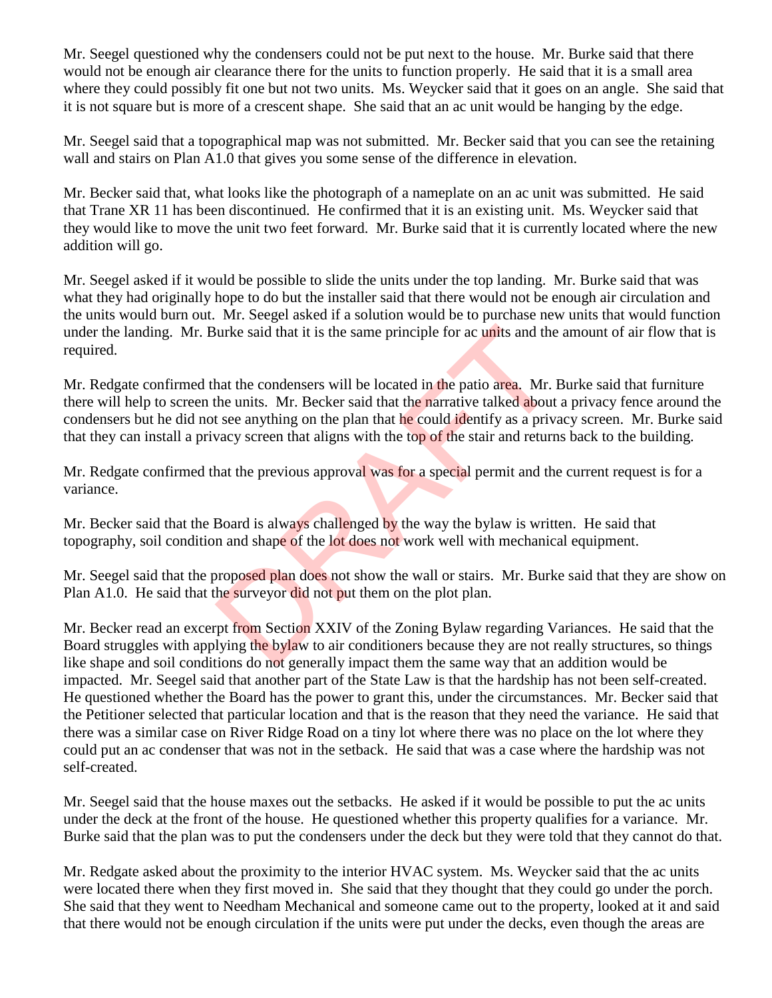Mr. Seegel questioned why the condensers could not be put next to the house. Mr. Burke said that there would not be enough air clearance there for the units to function properly. He said that it is a small area where they could possibly fit one but not two units. Ms. Weycker said that it goes on an angle. She said that it is not square but is more of a crescent shape. She said that an ac unit would be hanging by the edge.

Mr. Seegel said that a topographical map was not submitted. Mr. Becker said that you can see the retaining wall and stairs on Plan A1.0 that gives you some sense of the difference in elevation.

Mr. Becker said that, what looks like the photograph of a nameplate on an ac unit was submitted. He said that Trane XR 11 has been discontinued. He confirmed that it is an existing unit. Ms. Weycker said that they would like to move the unit two feet forward. Mr. Burke said that it is currently located where the new addition will go.

Mr. Seegel asked if it would be possible to slide the units under the top landing. Mr. Burke said that was what they had originally hope to do but the installer said that there would not be enough air circulation and the units would burn out. Mr. Seegel asked if a solution would be to purchase new units that would function under the landing. Mr. Burke said that it is the same principle for ac units and the amount of air flow that is required.

Mr. Redgate confirmed that the condensers will be located in the patio area. Mr. Burke said that furniture there will help to screen the units. Mr. Becker said that the narrative talked about a privacy fence around the condensers but he did not see anything on the plan that he could identify as a privacy screen. Mr. Burke said that they can install a privacy screen that aligns with the top of the stair and returns back to the building. Figure 1.1 The same principle for ac units and the<br>that the condensers will be located in the patio area. Mr. I<br>the units. Mr. Becker said that the narrative talked about<br>t see anything on the plan that he could identify a

Mr. Redgate confirmed that the previous approval was for a special permit and the current request is for a variance.

Mr. Becker said that the Board is always challenged by the way the bylaw is written. He said that topography, soil condition and shape of the lot does not work well with mechanical equipment.

Mr. Seegel said that the proposed plan does not show the wall or stairs. Mr. Burke said that they are show on Plan A1.0. He said that the surveyor did not put them on the plot plan.

Mr. Becker read an excerpt from Section XXIV of the Zoning Bylaw regarding Variances. He said that the Board struggles with applying the bylaw to air conditioners because they are not really structures, so things like shape and soil conditions do not generally impact them the same way that an addition would be impacted. Mr. Seegel said that another part of the State Law is that the hardship has not been self-created. He questioned whether the Board has the power to grant this, under the circumstances. Mr. Becker said that the Petitioner selected that particular location and that is the reason that they need the variance. He said that there was a similar case on River Ridge Road on a tiny lot where there was no place on the lot where they could put an ac condenser that was not in the setback. He said that was a case where the hardship was not self-created.

Mr. Seegel said that the house maxes out the setbacks. He asked if it would be possible to put the ac units under the deck at the front of the house. He questioned whether this property qualifies for a variance. Mr. Burke said that the plan was to put the condensers under the deck but they were told that they cannot do that.

Mr. Redgate asked about the proximity to the interior HVAC system. Ms. Weycker said that the ac units were located there when they first moved in. She said that they thought that they could go under the porch. She said that they went to Needham Mechanical and someone came out to the property, looked at it and said that there would not be enough circulation if the units were put under the decks, even though the areas are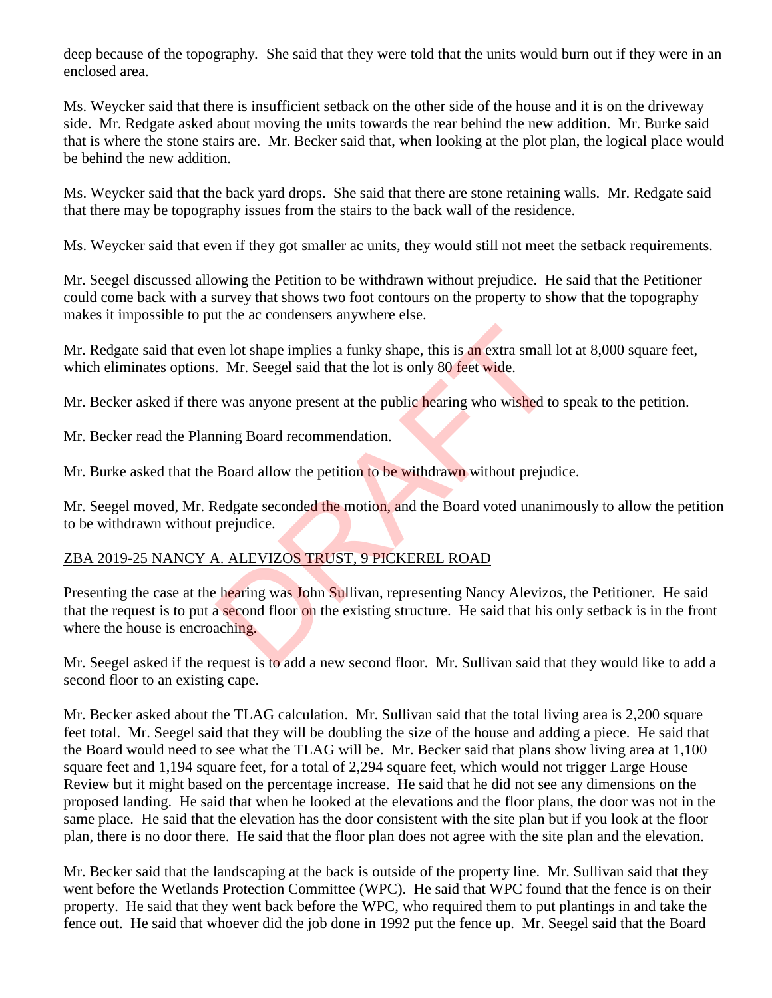deep because of the topography. She said that they were told that the units would burn out if they were in an enclosed area.

Ms. Weycker said that there is insufficient setback on the other side of the house and it is on the driveway side. Mr. Redgate asked about moving the units towards the rear behind the new addition. Mr. Burke said that is where the stone stairs are. Mr. Becker said that, when looking at the plot plan, the logical place would be behind the new addition.

Ms. Weycker said that the back yard drops. She said that there are stone retaining walls. Mr. Redgate said that there may be topography issues from the stairs to the back wall of the residence.

Ms. Weycker said that even if they got smaller ac units, they would still not meet the setback requirements.

Mr. Seegel discussed allowing the Petition to be withdrawn without prejudice. He said that the Petitioner could come back with a survey that shows two foot contours on the property to show that the topography makes it impossible to put the ac condensers anywhere else.

Mr. Redgate said that even lot shape implies a funky shape, this is an extra small lot at 8,000 square feet, which eliminates options. Mr. Seegel said that the lot is only 80 feet wide.

Mr. Becker asked if there was anyone present at the public hearing who wished to speak to the petition.

Mr. Becker read the Planning Board recommendation.

Mr. Burke asked that the Board allow the petition to be withdrawn without prejudice.

Mr. Seegel moved, Mr. Redgate seconded the motion, and the Board voted unanimously to allow the petition to be withdrawn without prejudice.

# ZBA 2019-25 NANCY A. ALEVIZOS TRUST, 9 PICKEREL ROAD

Presenting the case at the hearing was John Sullivan, representing Nancy Alevizos, the Petitioner. He said that the request is to put a second floor on the existing structure. He said that his only setback is in the front where the house is encroaching. Example in the same whole state and the state and the state and the state and the state and the state and the state and the state and the state and the state and state and stated and stated and state and stated and state

Mr. Seegel asked if the request is to add a new second floor. Mr. Sullivan said that they would like to add a second floor to an existing cape.

Mr. Becker asked about the TLAG calculation. Mr. Sullivan said that the total living area is 2,200 square feet total. Mr. Seegel said that they will be doubling the size of the house and adding a piece. He said that the Board would need to see what the TLAG will be. Mr. Becker said that plans show living area at 1,100 square feet and 1,194 square feet, for a total of 2,294 square feet, which would not trigger Large House Review but it might based on the percentage increase. He said that he did not see any dimensions on the proposed landing. He said that when he looked at the elevations and the floor plans, the door was not in the same place. He said that the elevation has the door consistent with the site plan but if you look at the floor plan, there is no door there. He said that the floor plan does not agree with the site plan and the elevation.

Mr. Becker said that the landscaping at the back is outside of the property line. Mr. Sullivan said that they went before the Wetlands Protection Committee (WPC). He said that WPC found that the fence is on their property. He said that they went back before the WPC, who required them to put plantings in and take the fence out. He said that whoever did the job done in 1992 put the fence up. Mr. Seegel said that the Board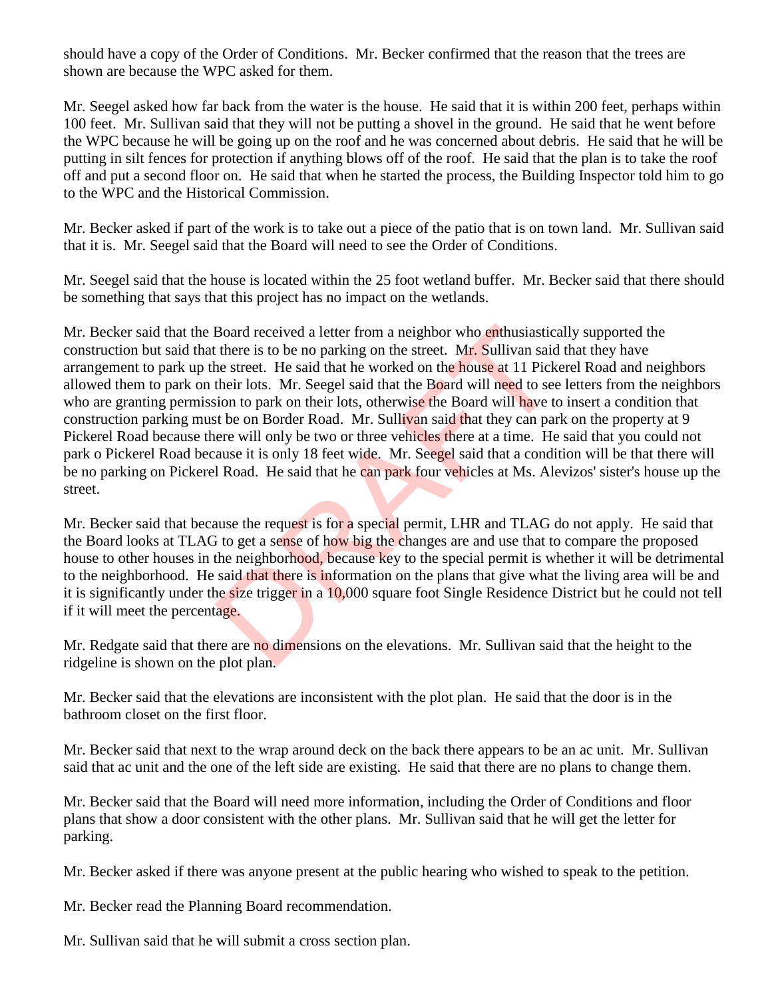should have a copy of the Order of Conditions. Mr. Becker confirmed that the reason that the trees are shown are because the WPC asked for them.

Mr. Seegel asked how far back from the water is the house. He said that it is within 200 feet, perhaps within 100 feet. Mr. Sullivan said that they will not be putting a shovel in the ground. He said that he went before the WPC because he will be going up on the roof and he was concerned about debris. He said that he will be putting in silt fences for protection if anything blows off of the roof. He said that the plan is to take the roof off and put a second floor on. He said that when he started the process, the Building Inspector told him to go to the WPC and the Historical Commission.

Mr. Becker asked if part of the work is to take out a piece of the patio that is on town land. Mr. Sullivan said that it is. Mr. Seegel said that the Board will need to see the Order of Conditions.

Mr. Seegel said that the house is located within the 25 foot wetland buffer. Mr. Becker said that there should be something that says that this project has no impact on the wetlands.

Mr. Becker said that the Board received a letter from a neighbor who enthusiastically supported the construction but said that there is to be no parking on the street. Mr. Sullivan said that they have arrangement to park up the street. He said that he worked on the house at 11 Pickerel Road and neighbors allowed them to park on their lots. Mr. Seegel said that the Board will need to see letters from the neighbors who are granting permission to park on their lots, otherwise the Board will have to insert a condition that construction parking must be on Border Road. Mr. Sullivan said that they can park on the property at 9 Pickerel Road because there will only be two or three vehicles there at a time. He said that you could not park o Pickerel Road because it is only 18 feet wide. Mr. Seegel said that a condition will be that there will be no parking on Pickerel Road. He said that he can park four vehicles at Ms. Alevizos' sister's house up the street. Board received a letter from a neighbor who **enthusiastic**:<br>there is to be no parking on the street. Mr. Sullivan said<br>ne street. He said that he worked on the house at 11 Pick<br>their lots. Mr. Seegel said that the Board wi

Mr. Becker said that because the request is for a special permit, LHR and TLAG do not apply. He said that the Board looks at TLAG to get a sense of how big the changes are and use that to compare the proposed house to other houses in the neighborhood, because key to the special permit is whether it will be detrimental to the neighborhood. He said that there is information on the plans that give what the living area will be and it is significantly under the size trigger in a 10,000 square foot Single Residence District but he could not tell if it will meet the percentage.

Mr. Redgate said that there are no dimensions on the elevations. Mr. Sullivan said that the height to the ridgeline is shown on the plot plan.

Mr. Becker said that the elevations are inconsistent with the plot plan. He said that the door is in the bathroom closet on the first floor.

Mr. Becker said that next to the wrap around deck on the back there appears to be an ac unit. Mr. Sullivan said that ac unit and the one of the left side are existing. He said that there are no plans to change them.

Mr. Becker said that the Board will need more information, including the Order of Conditions and floor plans that show a door consistent with the other plans. Mr. Sullivan said that he will get the letter for parking.

Mr. Becker asked if there was anyone present at the public hearing who wished to speak to the petition.

Mr. Becker read the Planning Board recommendation.

Mr. Sullivan said that he will submit a cross section plan.